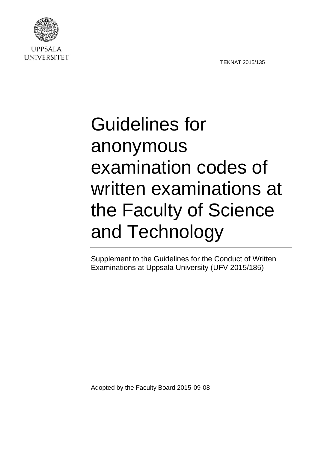TEKNAT 2015/135



**UPPSALA UNIVERSITET** 

## Guidelines for anonymous examination codes of written examinations at the Faculty of Science and Technology

Supplement to the Guidelines for the Conduct of Written Examinations at Uppsala University (UFV 2015/185)

Adopted by the Faculty Board 2015-09-08